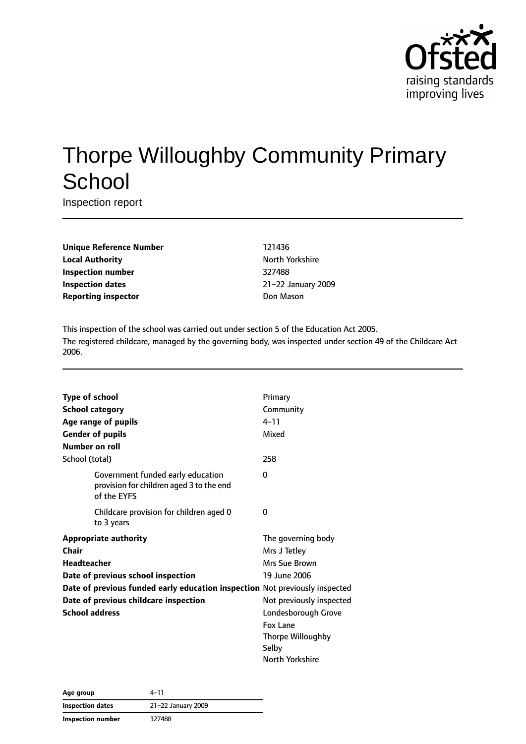

# Thorpe Willoughby Community Primary **School**

Inspection report

**Unique Reference Number** 121436 **Local Authority North Yorkshire Inspection number** 327488 **Inspection dates** 21–22 January 2009 **Reporting inspector by Community Community Don Mason** 

This inspection of the school was carried out under section 5 of the Education Act 2005. The registered childcare, managed by the governing body, was inspected under section 49 of the Childcare Act 2006.

|                       | <b>Type of school</b>                                                                        | Primary                  |
|-----------------------|----------------------------------------------------------------------------------------------|--------------------------|
|                       | <b>School category</b>                                                                       | Community                |
|                       | Age range of pupils                                                                          | $4 - 11$                 |
|                       | <b>Gender of pupils</b>                                                                      | Mixed                    |
|                       | Number on roll                                                                               |                          |
|                       | School (total)                                                                               | 258                      |
|                       | Government funded early education<br>provision for children aged 3 to the end<br>of the EYFS | 0                        |
|                       | Childcare provision for children aged 0<br>to 3 years                                        | 0                        |
|                       | <b>Appropriate authority</b>                                                                 | The governing body       |
| Chair                 |                                                                                              | Mrs J Tetley             |
|                       | Headteacher                                                                                  | Mrs Sue Brown            |
|                       | Date of previous school inspection                                                           | 19 June 2006             |
|                       | Date of previous funded early education inspection Not previously inspected                  |                          |
|                       | Date of previous childcare inspection                                                        | Not previously inspected |
| <b>School address</b> |                                                                                              | Londesborough Grove      |
|                       |                                                                                              | Fox Lane                 |
|                       |                                                                                              | Thorpe Willoughby        |
|                       |                                                                                              | Selby                    |
|                       |                                                                                              | North Yorkshire          |

| Age group                | 4–11               |
|--------------------------|--------------------|
| <b>Inspection dates</b>  | 21-22 January 2009 |
| <b>Inspection number</b> | 327488             |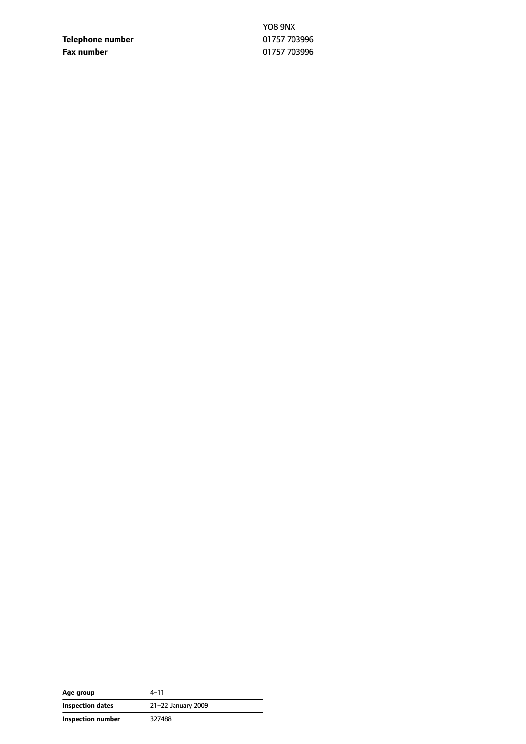**Telephone number** 01757 703996 **Fax number** 01757 703996

YO8 9NX

| Age group                | 4-11               |  |  |
|--------------------------|--------------------|--|--|
| Inspection dates         | 21-22 January 2009 |  |  |
| <b>Inspection number</b> | 327488             |  |  |

 $\sim$  $\overline{\phantom{0}}$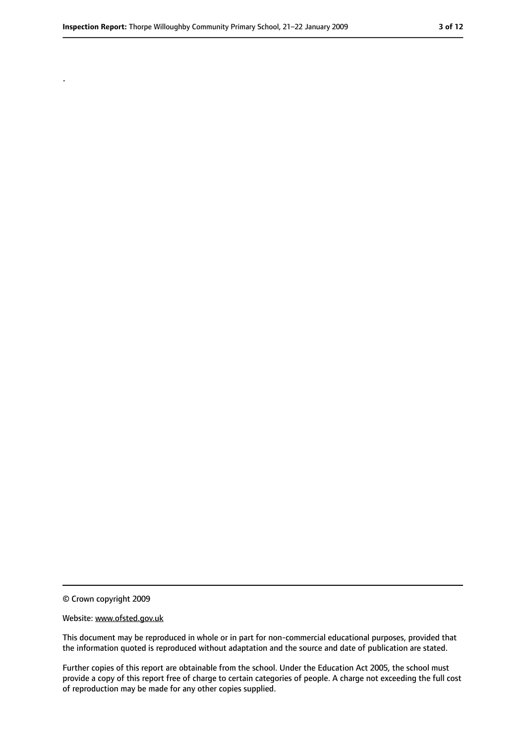.

<sup>©</sup> Crown copyright 2009

Website: www.ofsted.gov.uk

This document may be reproduced in whole or in part for non-commercial educational purposes, provided that the information quoted is reproduced without adaptation and the source and date of publication are stated.

Further copies of this report are obtainable from the school. Under the Education Act 2005, the school must provide a copy of this report free of charge to certain categories of people. A charge not exceeding the full cost of reproduction may be made for any other copies supplied.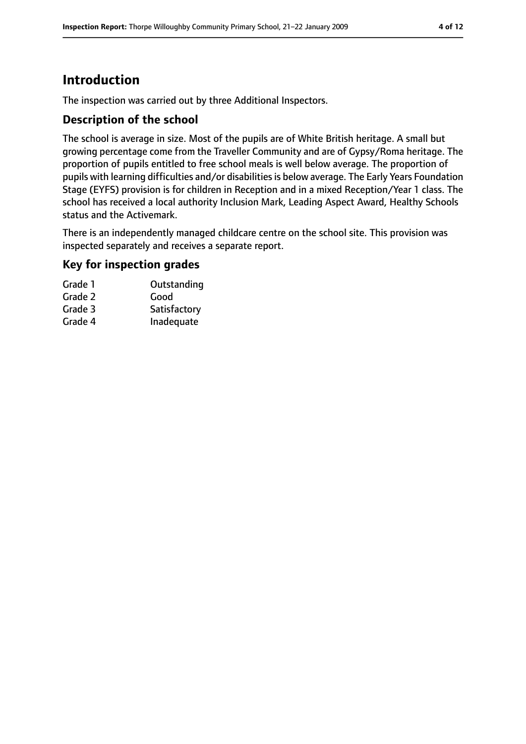# **Introduction**

The inspection was carried out by three Additional Inspectors.

### **Description of the school**

The school is average in size. Most of the pupils are of White British heritage. A small but growing percentage come from the Traveller Community and are of Gypsy/Roma heritage. The proportion of pupils entitled to free school meals is well below average. The proportion of pupils with learning difficulties and/or disabilities is below average. The Early Years Foundation Stage (EYFS) provision is for children in Reception and in a mixed Reception/Year 1 class. The school has received a local authority Inclusion Mark, Leading Aspect Award, Healthy Schools status and the Activemark.

There is an independently managed childcare centre on the school site. This provision was inspected separately and receives a separate report.

### **Key for inspection grades**

| Grade 1 | Outstanding  |
|---------|--------------|
| Grade 2 | Good         |
| Grade 3 | Satisfactory |
| Grade 4 | Inadequate   |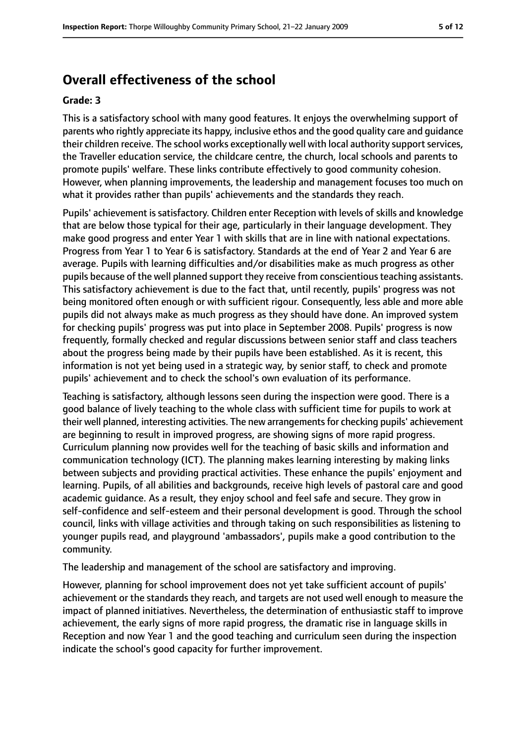# **Overall effectiveness of the school**

#### **Grade: 3**

This is a satisfactory school with many good features. It enjoys the overwhelming support of parents who rightly appreciate its happy, inclusive ethos and the good quality care and guidance their children receive. The school works exceptionally well with local authority supportservices, the Traveller education service, the childcare centre, the church, local schools and parents to promote pupils' welfare. These links contribute effectively to good community cohesion. However, when planning improvements, the leadership and management focuses too much on what it provides rather than pupils' achievements and the standards they reach.

Pupils' achievement is satisfactory. Children enter Reception with levels of skills and knowledge that are below those typical for their age, particularly in their language development. They make good progress and enter Year 1 with skills that are in line with national expectations. Progress from Year 1 to Year 6 is satisfactory. Standards at the end of Year 2 and Year 6 are average. Pupils with learning difficulties and/or disabilities make as much progress as other pupils because of the well planned support they receive from conscientiousteaching assistants. This satisfactory achievement is due to the fact that, until recently, pupils' progress was not being monitored often enough or with sufficient rigour. Consequently, less able and more able pupils did not always make as much progress as they should have done. An improved system for checking pupils' progress was put into place in September 2008. Pupils' progress is now frequently, formally checked and regular discussions between senior staff and class teachers about the progress being made by their pupils have been established. As it is recent, this information is not yet being used in a strategic way, by senior staff, to check and promote pupils' achievement and to check the school's own evaluation of its performance.

Teaching is satisfactory, although lessons seen during the inspection were good. There is a good balance of lively teaching to the whole class with sufficient time for pupils to work at their well planned, interesting activities. The new arrangementsfor checking pupils' achievement are beginning to result in improved progress, are showing signs of more rapid progress. Curriculum planning now provides well for the teaching of basic skills and information and communication technology (ICT). The planning makes learning interesting by making links between subjects and providing practical activities. These enhance the pupils' enjoyment and learning. Pupils, of all abilities and backgrounds, receive high levels of pastoral care and good academic guidance. As a result, they enjoy school and feel safe and secure. They grow in self-confidence and self-esteem and their personal development is good. Through the school council, links with village activities and through taking on such responsibilities as listening to younger pupils read, and playground 'ambassadors', pupils make a good contribution to the community.

The leadership and management of the school are satisfactory and improving.

However, planning for school improvement does not yet take sufficient account of pupils' achievement or the standards they reach, and targets are not used well enough to measure the impact of planned initiatives. Nevertheless, the determination of enthusiastic staff to improve achievement, the early signs of more rapid progress, the dramatic rise in language skills in Reception and now Year 1 and the good teaching and curriculum seen during the inspection indicate the school's good capacity for further improvement.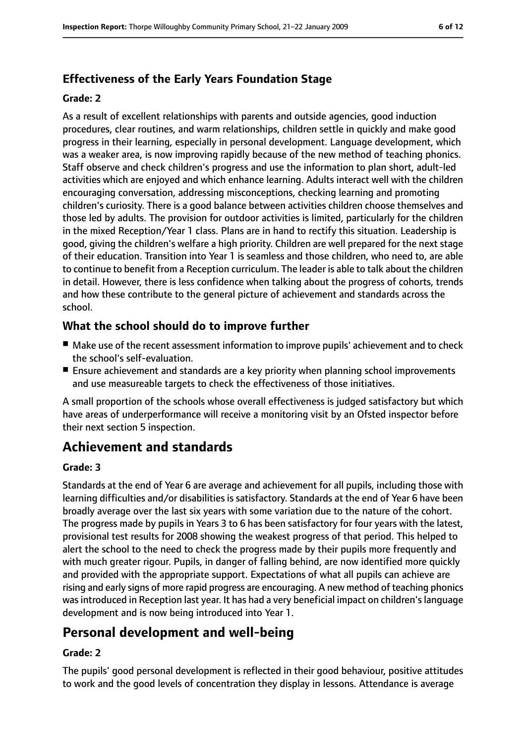### **Effectiveness of the Early Years Foundation Stage**

#### **Grade: 2**

As a result of excellent relationships with parents and outside agencies, good induction procedures, clear routines, and warm relationships, children settle in quickly and make good progress in their learning, especially in personal development. Language development, which was a weaker area, is now improving rapidly because of the new method of teaching phonics. Staff observe and check children's progress and use the information to plan short, adult-led activities which are enjoyed and which enhance learning. Adults interact well with the children encouraging conversation, addressing misconceptions, checking learning and promoting children's curiosity. There is a good balance between activities children choose themselves and those led by adults. The provision for outdoor activities is limited, particularly for the children in the mixed Reception/Year 1 class. Plans are in hand to rectify this situation. Leadership is good, giving the children's welfare a high priority. Children are well prepared for the next stage of their education. Transition into Year 1 is seamless and those children, who need to, are able to continue to benefit from a Reception curriculum. The leader is able to talk about the children in detail. However, there is less confidence when talking about the progress of cohorts, trends and how these contribute to the general picture of achievement and standards across the school.

### **What the school should do to improve further**

- Make use of the recent assessment information to improve pupils' achievement and to check the school's self-evaluation.
- Ensure achievement and standards are a key priority when planning school improvements and use measureable targets to check the effectiveness of those initiatives.

A small proportion of the schools whose overall effectiveness is judged satisfactory but which have areas of underperformance will receive a monitoring visit by an Ofsted inspector before their next section 5 inspection.

# **Achievement and standards**

#### **Grade: 3**

Standards at the end of Year 6 are average and achievement for all pupils, including those with learning difficulties and/or disabilities is satisfactory. Standards at the end of Year 6 have been broadly average over the last six years with some variation due to the nature of the cohort. The progress made by pupils in Years 3 to 6 has been satisfactory for four years with the latest, provisional test results for 2008 showing the weakest progress of that period. This helped to alert the school to the need to check the progress made by their pupils more frequently and with much greater rigour. Pupils, in danger of falling behind, are now identified more quickly and provided with the appropriate support. Expectations of what all pupils can achieve are rising and early signs of more rapid progress are encouraging. A new method of teaching phonics wasintroduced in Reception last year. It has had a very beneficial impact on children'slanguage development and is now being introduced into Year 1.

# **Personal development and well-being**

#### **Grade: 2**

The pupils' good personal development is reflected in their good behaviour, positive attitudes to work and the good levels of concentration they display in lessons. Attendance is average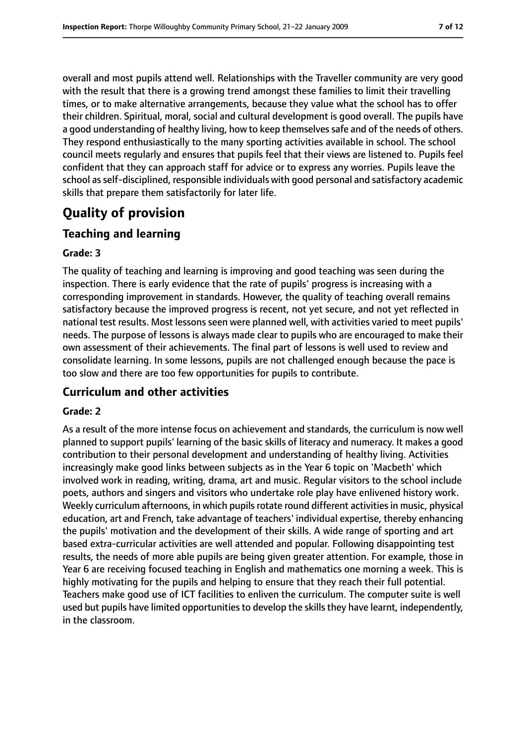overall and most pupils attend well. Relationships with the Traveller community are very good with the result that there is a growing trend amongst these families to limit their travelling times, or to make alternative arrangements, because they value what the school has to offer their children. Spiritual, moral, social and cultural development is good overall. The pupils have a good understanding of healthy living, how to keep themselves safe and of the needs of others. They respond enthusiastically to the many sporting activities available in school. The school council meets regularly and ensures that pupils feel that their views are listened to. Pupils feel confident that they can approach staff for advice or to express any worries. Pupils leave the school as self-disciplined, responsible individuals with good personal and satisfactory academic skills that prepare them satisfactorily for later life.

# **Quality of provision**

### **Teaching and learning**

#### **Grade: 3**

The quality of teaching and learning is improving and good teaching was seen during the inspection. There is early evidence that the rate of pupils' progress is increasing with a corresponding improvement in standards. However, the quality of teaching overall remains satisfactory because the improved progress is recent, not yet secure, and not yet reflected in national test results. Most lessons seen were planned well, with activities varied to meet pupils' needs. The purpose of lessons is always made clear to pupils who are encouraged to make their own assessment of their achievements. The final part of lessons is well used to review and consolidate learning. In some lessons, pupils are not challenged enough because the pace is too slow and there are too few opportunities for pupils to contribute.

### **Curriculum and other activities**

#### **Grade: 2**

As a result of the more intense focus on achievement and standards, the curriculum is now well planned to support pupils' learning of the basic skills of literacy and numeracy. It makes a good contribution to their personal development and understanding of healthy living. Activities increasingly make good links between subjects as in the Year 6 topic on 'Macbeth' which involved work in reading, writing, drama, art and music. Regular visitors to the school include poets, authors and singers and visitors who undertake role play have enlivened history work. Weekly curriculum afternoons, in which pupils rotate round different activities in music, physical education, art and French, take advantage of teachers' individual expertise, thereby enhancing the pupils' motivation and the development of their skills. A wide range of sporting and art based extra-curricular activities are well attended and popular. Following disappointing test results, the needs of more able pupils are being given greater attention. For example, those in Year 6 are receiving focused teaching in English and mathematics one morning a week. This is highly motivating for the pupils and helping to ensure that they reach their full potential. Teachers make good use of ICT facilities to enliven the curriculum. The computer suite is well used but pupils have limited opportunities to develop the skills they have learnt, independently, in the classroom.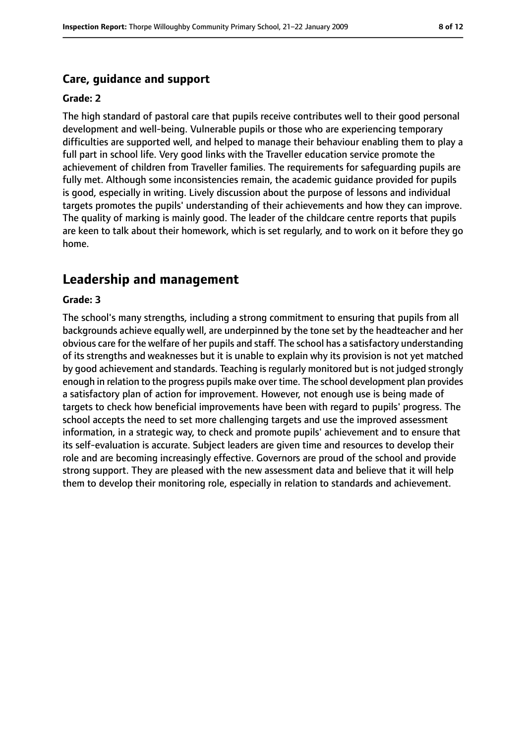### **Care, guidance and support**

#### **Grade: 2**

The high standard of pastoral care that pupils receive contributes well to their good personal development and well-being. Vulnerable pupils or those who are experiencing temporary difficulties are supported well, and helped to manage their behaviour enabling them to play a full part in school life. Very good links with the Traveller education service promote the achievement of children from Traveller families. The requirements for safeguarding pupils are fully met. Although some inconsistencies remain, the academic guidance provided for pupils is good, especially in writing. Lively discussion about the purpose of lessons and individual targets promotes the pupils' understanding of their achievements and how they can improve. The quality of marking is mainly good. The leader of the childcare centre reports that pupils are keen to talk about their homework, which is set regularly, and to work on it before they go home.

# **Leadership and management**

#### **Grade: 3**

The school's many strengths, including a strong commitment to ensuring that pupils from all backgrounds achieve equally well, are underpinned by the tone set by the headteacher and her obvious care for the welfare of her pupils and staff. The school has a satisfactory understanding of its strengths and weaknesses but it is unable to explain why its provision is not yet matched by good achievement and standards. Teaching is regularly monitored but is not judged strongly enough in relation to the progress pupils make over time. The school development plan provides a satisfactory plan of action for improvement. However, not enough use is being made of targets to check how beneficial improvements have been with regard to pupils' progress. The school accepts the need to set more challenging targets and use the improved assessment information, in a strategic way, to check and promote pupils' achievement and to ensure that its self-evaluation is accurate. Subject leaders are given time and resources to develop their role and are becoming increasingly effective. Governors are proud of the school and provide strong support. They are pleased with the new assessment data and believe that it will help them to develop their monitoring role, especially in relation to standards and achievement.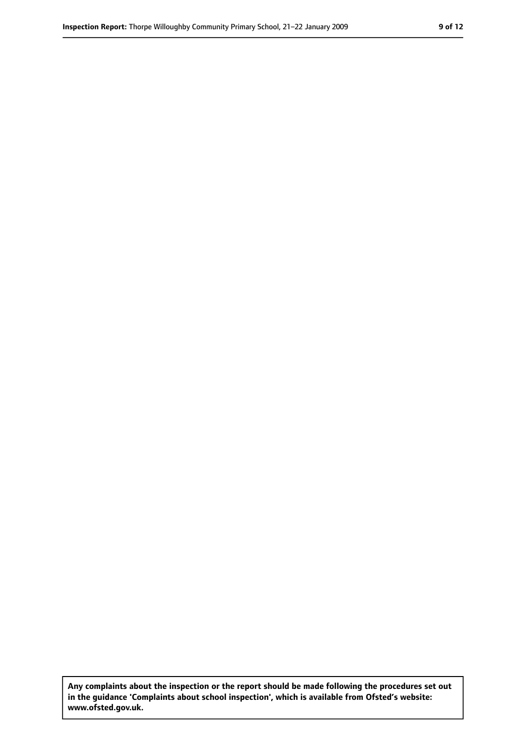**Any complaints about the inspection or the report should be made following the procedures set out in the guidance 'Complaints about school inspection', which is available from Ofsted's website: www.ofsted.gov.uk.**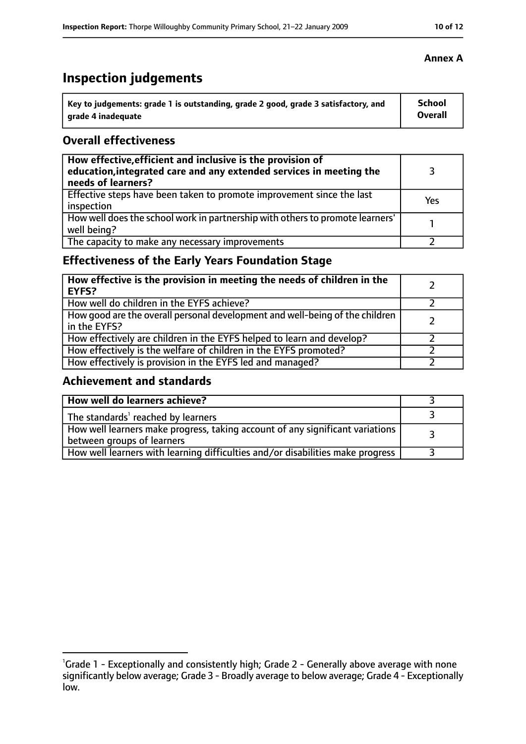# **Inspection judgements**

| Key to judgements: grade 1 is outstanding, grade 2 good, grade 3 satisfactory, and | <b>School</b>  |
|------------------------------------------------------------------------------------|----------------|
| arade 4 inadequate                                                                 | <b>Overall</b> |

### **Overall effectiveness**

| How effective, efficient and inclusive is the provision of<br>education, integrated care and any extended services in meeting the<br>needs of learners? |     |
|---------------------------------------------------------------------------------------------------------------------------------------------------------|-----|
| Effective steps have been taken to promote improvement since the last<br>inspection                                                                     | Yes |
| How well does the school work in partnership with others to promote learners'<br>well being?                                                            |     |
| The capacity to make any necessary improvements                                                                                                         |     |

## **Effectiveness of the Early Years Foundation Stage**

| How effective is the provision in meeting the needs of children in the<br>l EYFS?            |  |
|----------------------------------------------------------------------------------------------|--|
| How well do children in the EYFS achieve?                                                    |  |
| How good are the overall personal development and well-being of the children<br>in the EYFS? |  |
| How effectively are children in the EYFS helped to learn and develop?                        |  |
| How effectively is the welfare of children in the EYFS promoted?                             |  |
| How effectively is provision in the EYFS led and managed?                                    |  |

### **Achievement and standards**

| How well do learners achieve?                                                                               |  |
|-------------------------------------------------------------------------------------------------------------|--|
| The standards <sup>1</sup> reached by learners                                                              |  |
| How well learners make progress, taking account of any significant variations<br>between groups of learners |  |
| How well learners with learning difficulties and/or disabilities make progress                              |  |

<sup>&</sup>lt;sup>1</sup>Grade 1 - Exceptionally and consistently high; Grade 2 - Generally above average with none significantly below average; Grade 3 - Broadly average to below average; Grade 4 - Exceptionally low.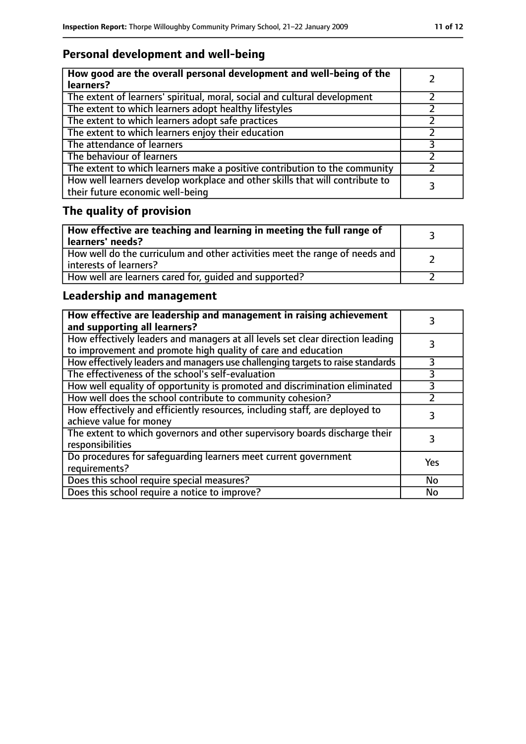# **Personal development and well-being**

| How good are the overall personal development and well-being of the<br>learners?                                 |  |
|------------------------------------------------------------------------------------------------------------------|--|
| The extent of learners' spiritual, moral, social and cultural development                                        |  |
| The extent to which learners adopt healthy lifestyles                                                            |  |
| The extent to which learners adopt safe practices                                                                |  |
| The extent to which learners enjoy their education                                                               |  |
| The attendance of learners                                                                                       |  |
| The behaviour of learners                                                                                        |  |
| The extent to which learners make a positive contribution to the community                                       |  |
| How well learners develop workplace and other skills that will contribute to<br>their future economic well-being |  |

# **The quality of provision**

| How effective are teaching and learning in meeting the full range of<br>learners' needs?              |  |
|-------------------------------------------------------------------------------------------------------|--|
| How well do the curriculum and other activities meet the range of needs and<br>interests of learners? |  |
| How well are learners cared for, quided and supported?                                                |  |

## **Leadership and management**

| How effective are leadership and management in raising achievement<br>and supporting all learners?                                              |     |
|-------------------------------------------------------------------------------------------------------------------------------------------------|-----|
| How effectively leaders and managers at all levels set clear direction leading<br>to improvement and promote high quality of care and education |     |
| How effectively leaders and managers use challenging targets to raise standards                                                                 | 3   |
| The effectiveness of the school's self-evaluation                                                                                               | 3   |
| How well equality of opportunity is promoted and discrimination eliminated                                                                      |     |
| How well does the school contribute to community cohesion?                                                                                      |     |
| How effectively and efficiently resources, including staff, are deployed to<br>achieve value for money                                          | 3   |
| The extent to which governors and other supervisory boards discharge their<br>responsibilities                                                  | 3   |
| Do procedures for safequarding learners meet current government<br>requirements?                                                                | Yes |
| Does this school require special measures?                                                                                                      | No  |
| Does this school require a notice to improve?                                                                                                   | No  |